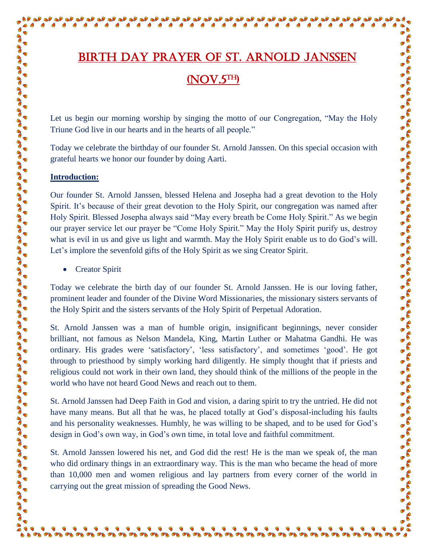## Birth day prayer of St. Arnold Janssen (NOV.5TH)

a de la de la de la de la de la de la de la de la de la de la de la de la de la de la de la de la de la de la<br>La de la de la de la de la de la de la de la de la de la de la de la de la de la de la de la de la de la de la

S

S

 $\triangleright$   $\stackrel{\sim}{\bullet}$ 

 $\bullet$ 

 $\bullet$ 

 $\blacksquare$  $\bullet$  $\bullet$  $\bullet$  $\bullet$  $\bullet$  $\bullet$ 

Let us begin our morning worship by singing the motto of our Congregation, "May the Holy Triune God live in our hearts and in the hearts of all people."

Today we celebrate the birthday of our founder St. Arnold Janssen. On this special occasion with grateful hearts we honor our founder by doing Aarti.

## **Introduction:**

S  $\frac{1}{2}$ B

C Co **BAD** 

 $\frac{1}{2}$ **CON BO BOO PAD PAS**  $\frac{1}{2}$ **CON CONO BOO**  $\frac{1}{2}$ **POD BAD**  $\frac{1}{2}$  $\frac{1}{2}$ **BOO PAS BOO BOO**  $\frac{1}{2}$ **BOO POD PAP BO BOO BOO**  $\frac{1}{2}$  $\bullet$ C **PAS BOO**  $\frac{1}{2}$ 

Co C C

 $\bullet$ 

 $\bullet$  $\blacksquare$  $\bullet$  $\bullet$  $\bullet$  $\bullet$ 

Our founder St. Arnold Janssen, blessed Helena and Josepha had a great devotion to the Holy Spirit. It's because of their great devotion to the Holy Spirit, our congregation was named after Holy Spirit. Blessed Josepha always said "May every breath be Come Holy Spirit." As we begin our prayer service let our prayer be "Come Holy Spirit." May the Holy Spirit purify us, destroy what is evil in us and give us light and warmth. May the Holy Spirit enable us to do God's will. Let's implore the sevenfold gifts of the Holy Spirit as we sing Creator Spirit.

Creator Spirit

Today we celebrate the birth day of our founder St. Arnold Janssen. He is our loving father, prominent leader and founder of the Divine Word Missionaries, the missionary sisters servants of the Holy Spirit and the sisters servants of the Holy Spirit of Perpetual Adoration.

St. Arnold Janssen was a man of humble origin, insignificant beginnings, never consider brilliant, not famous as Nelson Mandela, King, Martin Luther or Mahatma Gandhi. He was ordinary. His grades were 'satisfactory', 'less satisfactory', and sometimes 'good'. He got through to priesthood by simply working hard diligently. He simply thought that if priests and religious could not work in their own land, they should think of the millions of the people in the world who have not heard Good News and reach out to them.

St. Arnold Janssen had Deep Faith in God and vision, a daring spirit to try the untried. He did not have many means. But all that he was, he placed totally at God's disposal-including his faults and his personality weaknesses. Humbly, he was willing to be shaped, and to be used for God's design in God's own way, in God's own time, in total love and faithful commitment.

St. Arnold Janssen lowered his net, and God did the rest! He is the man we speak of, the man who did ordinary things in an extraordinary way. This is the man who became the head of more than 10,000 men and women religious and lay partners from every corner of the world in carrying out the great mission of spreading the Good News.

. . . . . . . . . . . . . . . . . . .